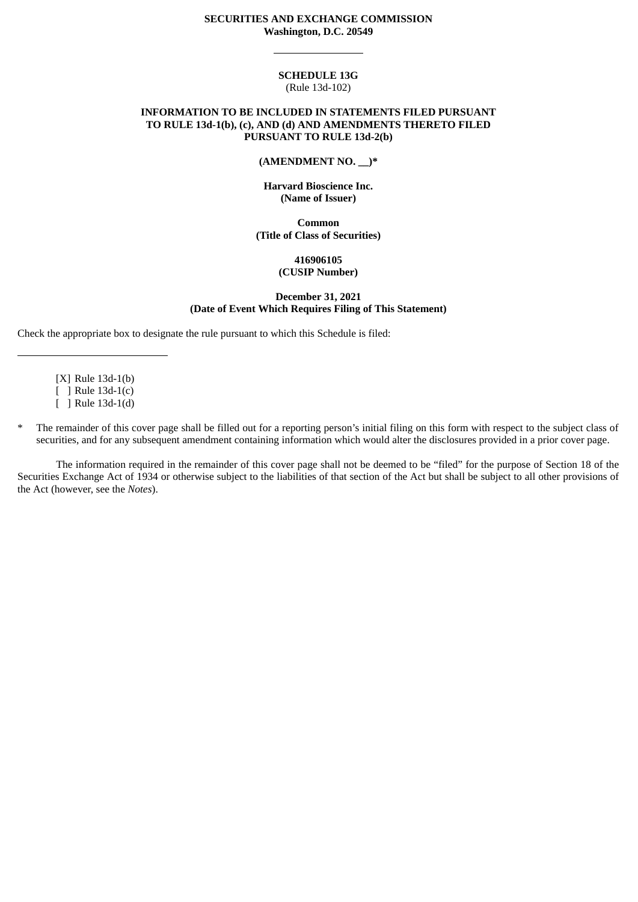#### **SECURITIES AND EXCHANGE COMMISSION Washington, D.C. 20549**

### **SCHEDULE 13G** (Rule 13d-102)

### **INFORMATION TO BE INCLUDED IN STATEMENTS FILED PURSUANT TO RULE 13d-1(b), (c), AND (d) AND AMENDMENTS THERETO FILED PURSUANT TO RULE 13d-2(b)**

#### **(AMENDMENT NO. \_\_)\***

### **Harvard Bioscience Inc. (Name of Issuer)**

**Common (Title of Class of Securities)**

## **416906105 (CUSIP Number)**

#### **December 31, 2021 (Date of Event Which Requires Filing of This Statement)**

Check the appropriate box to designate the rule pursuant to which this Schedule is filed:

[X] Rule 13d-1(b) [ ] Rule 13d-1(c)

[ ] Rule 13d-1(d)

The remainder of this cover page shall be filled out for a reporting person's initial filing on this form with respect to the subject class of securities, and for any subsequent amendment containing information which would alter the disclosures provided in a prior cover page.

The information required in the remainder of this cover page shall not be deemed to be "filed" for the purpose of Section 18 of the Securities Exchange Act of 1934 or otherwise subject to the liabilities of that section of the Act but shall be subject to all other provisions of the Act (however, see the *Notes*).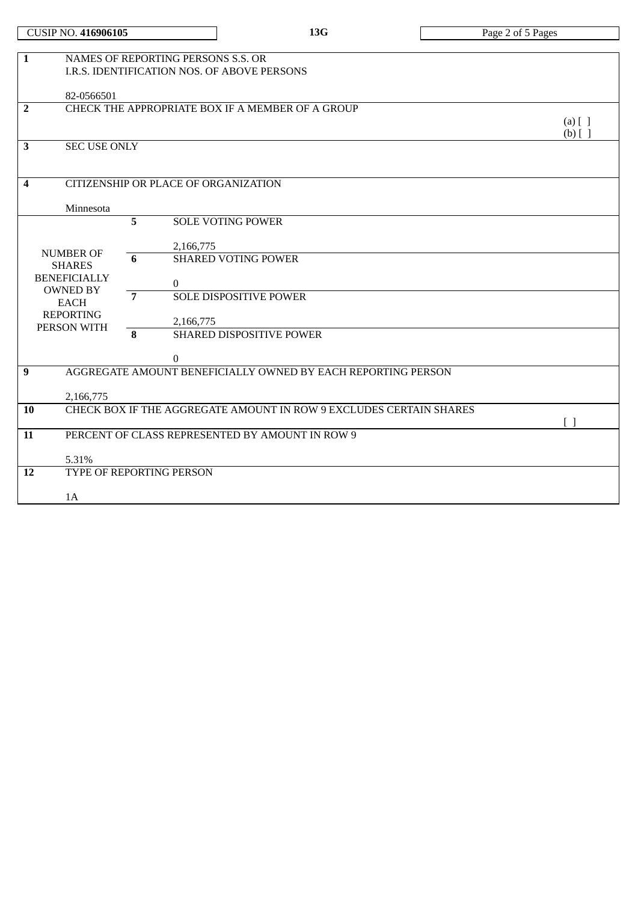| $\mathbf{1}$   |                                      |   | NAMES OF REPORTING PERSONS S.S. OR<br>I.R.S. IDENTIFICATION NOS. OF ABOVE PERSONS |                        |  |  |
|----------------|--------------------------------------|---|-----------------------------------------------------------------------------------|------------------------|--|--|
|                |                                      |   |                                                                                   |                        |  |  |
|                | 82-0566501                           |   |                                                                                   |                        |  |  |
| $\overline{2}$ |                                      |   | CHECK THE APPROPRIATE BOX IF A MEMBER OF A GROUP                                  |                        |  |  |
|                |                                      |   |                                                                                   | $(a)$ [ ]<br>$(b)$ [ ] |  |  |
| 3              | <b>SEC USE ONLY</b>                  |   |                                                                                   |                        |  |  |
|                |                                      |   |                                                                                   |                        |  |  |
|                |                                      |   |                                                                                   |                        |  |  |
| 4              | CITIZENSHIP OR PLACE OF ORGANIZATION |   |                                                                                   |                        |  |  |
|                |                                      |   |                                                                                   |                        |  |  |
|                | Minnesota                            |   |                                                                                   |                        |  |  |
|                |                                      | 5 | <b>SOLE VOTING POWER</b>                                                          |                        |  |  |
|                |                                      |   |                                                                                   |                        |  |  |
|                | <b>NUMBER OF</b>                     | 6 | 2,166,775<br><b>SHARED VOTING POWER</b>                                           |                        |  |  |
|                | <b>SHARES</b>                        |   |                                                                                   |                        |  |  |
|                | <b>BENEFICIALLY</b>                  |   | $\Omega$                                                                          |                        |  |  |
|                | <b>OWNED BY</b>                      | 7 | <b>SOLE DISPOSITIVE POWER</b>                                                     |                        |  |  |
|                | <b>EACH</b>                          |   |                                                                                   |                        |  |  |
|                | <b>REPORTING</b>                     |   | 2,166,775                                                                         |                        |  |  |
|                | PERSON WITH                          | 8 | <b>SHARED DISPOSITIVE POWER</b>                                                   |                        |  |  |
|                |                                      |   |                                                                                   |                        |  |  |
|                |                                      |   | $\Omega$                                                                          |                        |  |  |
| 9              |                                      |   | AGGREGATE AMOUNT BENEFICIALLY OWNED BY EACH REPORTING PERSON                      |                        |  |  |
|                |                                      |   |                                                                                   |                        |  |  |
|                | 2,166,775                            |   | CHECK BOX IF THE AGGREGATE AMOUNT IN ROW 9 EXCLUDES CERTAIN SHARES                |                        |  |  |
| 10             |                                      |   |                                                                                   |                        |  |  |
| 11             |                                      |   | PERCENT OF CLASS REPRESENTED BY AMOUNT IN ROW 9                                   |                        |  |  |
|                |                                      |   |                                                                                   |                        |  |  |
|                | 5.31%                                |   |                                                                                   |                        |  |  |
| 12             |                                      |   | TYPE OF REPORTING PERSON                                                          |                        |  |  |
|                |                                      |   |                                                                                   |                        |  |  |
|                | 1A                                   |   |                                                                                   |                        |  |  |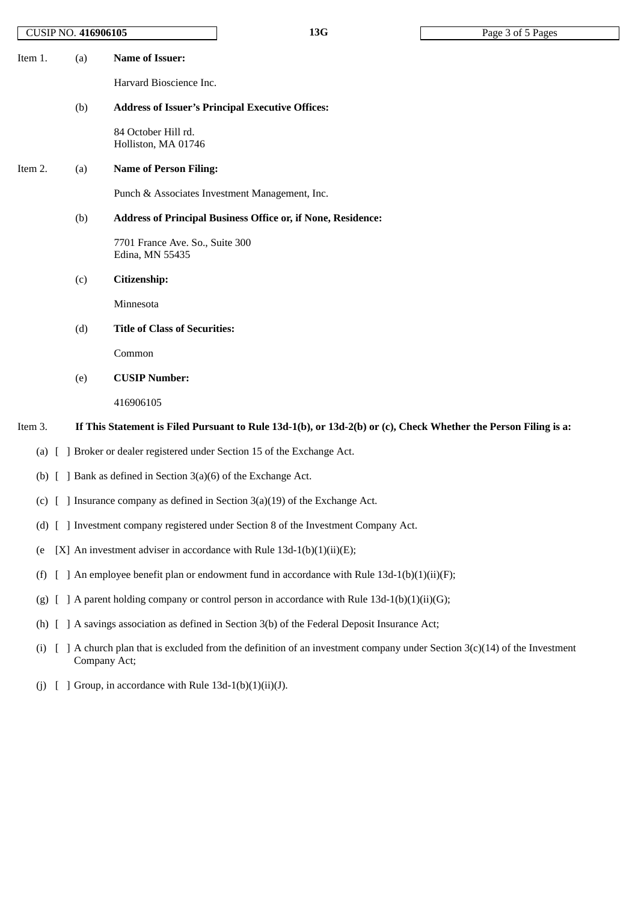| (a)<br>Item 1. | Name of Issuer: |
|----------------|-----------------|
|----------------|-----------------|

Harvard Bioscience Inc.

## (b) **Address of Issuer's Principal Executive Offices:**

84 October Hill rd. Holliston, MA 01746

## Item 2. (a) **Name of Person Filing:**

Punch & Associates Investment Management, Inc.

# (b) **Address of Principal Business Office or, if None, Residence:**

7701 France Ave. So., Suite 300 Edina, MN 55435

## (c) **Citizenship:**

Minnesota

(d) **Title of Class of Securities:**

Common

(e) **CUSIP Number:**

416906105

## Item 3. If This Statement is Filed Pursuant to Rule 13d-1(b), or 13d-2(b) or (c), Check Whether the Person Filing is a:

- (a) [ ] Broker or dealer registered under Section 15 of the Exchange Act.
- (b) [ ] Bank as defined in Section 3(a)(6) of the Exchange Act.
- (c)  $\lceil \ \rceil$  Insurance company as defined in Section 3(a)(19) of the Exchange Act.
- (d) [ ] Investment company registered under Section 8 of the Investment Company Act.
- (e  $[X]$  An investment adviser in accordance with Rule 13d-1(b)(1)(ii)(E);
- (f)  $\lceil$  ] An employee benefit plan or endowment fund in accordance with Rule 13d-1(b)(1)(ii)(F);
- (g)  $\lceil \cdot \rceil$  A parent holding company or control person in accordance with Rule 13d-1(b)(1)(ii)(G);
- (h) [ ] A savings association as defined in Section 3(b) of the Federal Deposit Insurance Act;
- (i)  $\left[ \right]$  A church plan that is excluded from the definition of an investment company under Section 3(c)(14) of the Investment Company Act;
- (i)  $\left[ \right]$  Group, in accordance with Rule 13d-1(b)(1)(ii)(J).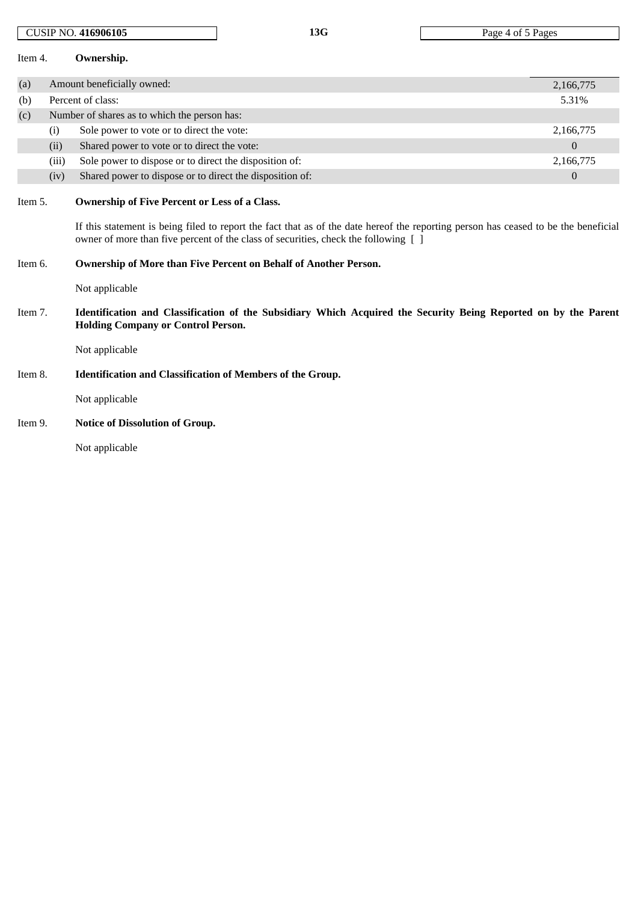| Item 4. |       | Ownership.                                                                                                                                                                                                                                                                         |                |  |  |  |
|---------|-------|------------------------------------------------------------------------------------------------------------------------------------------------------------------------------------------------------------------------------------------------------------------------------------|----------------|--|--|--|
| (a)     |       | Amount beneficially owned:                                                                                                                                                                                                                                                         | 2,166,775      |  |  |  |
| (b)     |       | Percent of class:                                                                                                                                                                                                                                                                  | 5.31%          |  |  |  |
| (c)     |       | Number of shares as to which the person has:                                                                                                                                                                                                                                       |                |  |  |  |
|         | (i)   | Sole power to vote or to direct the vote:                                                                                                                                                                                                                                          | 2,166,775      |  |  |  |
|         | (ii)  | Shared power to vote or to direct the vote:                                                                                                                                                                                                                                        | $\overline{0}$ |  |  |  |
|         | (iii) | Sole power to dispose or to direct the disposition of:                                                                                                                                                                                                                             | 2,166,775      |  |  |  |
|         | (iv)  | Shared power to dispose or to direct the disposition of:                                                                                                                                                                                                                           | $\mathbf{0}$   |  |  |  |
| Item 5. |       | <b>Ownership of Five Percent or Less of a Class.</b><br>If this statement is being filed to report the fact that as of the date hereof the reporting person has ceased to be the beneficial<br>owner of more than five percent of the class of securities, check the following [ ] |                |  |  |  |
| Item 6. |       | Ownership of More than Five Percent on Behalf of Another Person.                                                                                                                                                                                                                   |                |  |  |  |
|         |       | Not applicable                                                                                                                                                                                                                                                                     |                |  |  |  |
| Item 7. |       | Identification and Classification of the Subsidiary Which Acquired the Security Being Reported on by the Parent<br><b>Holding Company or Control Person.</b>                                                                                                                       |                |  |  |  |
|         |       | Not applicable                                                                                                                                                                                                                                                                     |                |  |  |  |
| Item 8. |       | <b>Identification and Classification of Members of the Group.</b>                                                                                                                                                                                                                  |                |  |  |  |
|         |       | Not applicable                                                                                                                                                                                                                                                                     |                |  |  |  |
| Item 9. |       | <b>Notice of Dissolution of Group.</b>                                                                                                                                                                                                                                             |                |  |  |  |

CUSIP NO. **416906105 13G** Page 4 of 5 Pages

Not applicable